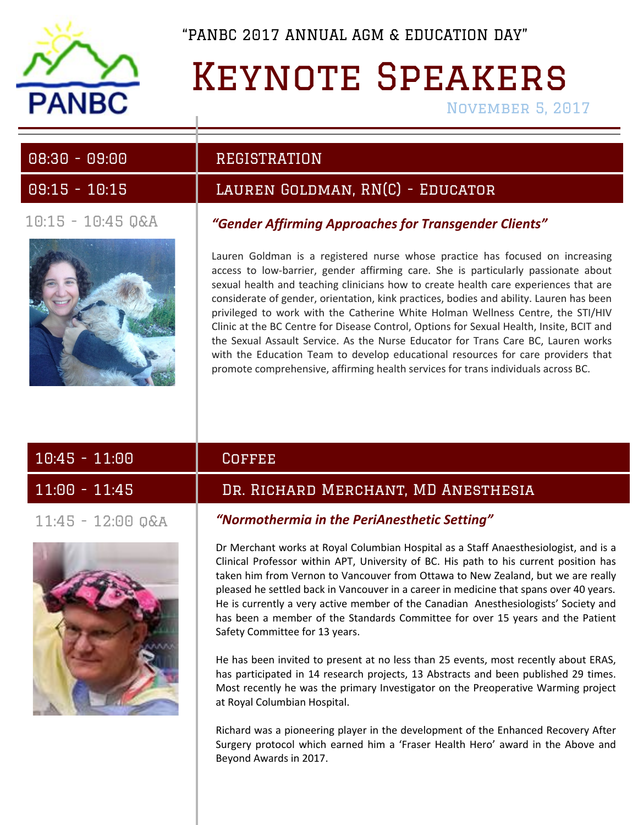

## Keynote Speakers

November 5, 2017

### 10:15 - 10:45 Q&A



### 08:30 - 09:00 REGISTRATION

## 09:15 - 10:15 Lauren Goldman, RN(C) - Educator

### *"Gender Affirming Approaches for Transgender Clients"*

Lauren Goldman is a registered nurse whose practice has focused on increasing access to low-barrier, gender affirming care. She is particularly passionate about sexual health and teaching clinicians how to create health care experiences that are considerate of gender, orientation, kink practices, bodies and ability. Lauren has been privileged to work with the Catherine White Holman Wellness Centre, the STI/HIV Clinic at the BC Centre for Disease Control, Options for Sexual Health, Insite, BCIT and the Sexual Assault Service. As the Nurse Educator for Trans Care BC, Lauren works with the Education Team to develop educational resources for care providers that promote comprehensive, affirming health services for trans individuals across BC.

| $10:45 - 11:00$     | <b>COFFEE</b>                                |
|---------------------|----------------------------------------------|
| $11:00 - 11:45$     | <u>'DR. RICHARD MERCHANT, MD ANESTHESIA,</u> |
| $11:45 - 12:00$ Q&A | "Normothermia in the PeriAnesthetic Setting" |



Dr Merchant works at Royal Columbian Hospital as a Staff Anaesthesiologist, and is a Clinical Professor within APT, University of BC. His path to his current position has taken him from Vernon to Vancouver from Ottawa to New Zealand, but we are really pleased he settled back in Vancouver in a career in medicine that spans over 40 years. He is currently a very active member of the Canadian Anesthesiologists' Society and has been a member of the Standards Committee for over 15 years and the Patient Safety Committee for 13 years.

He has been invited to present at no less than 25 events, most recently about ERAS, has participated in 14 research projects, 13 Abstracts and been published 29 times. Most recently he was the primary Investigator on the Preoperative Warming project at Royal Columbian Hospital.

Richard was a pioneering player in the development of the Enhanced Recovery After Surgery protocol which earned him a 'Fraser Health Hero' award in the Above and Beyond Awards in 2017.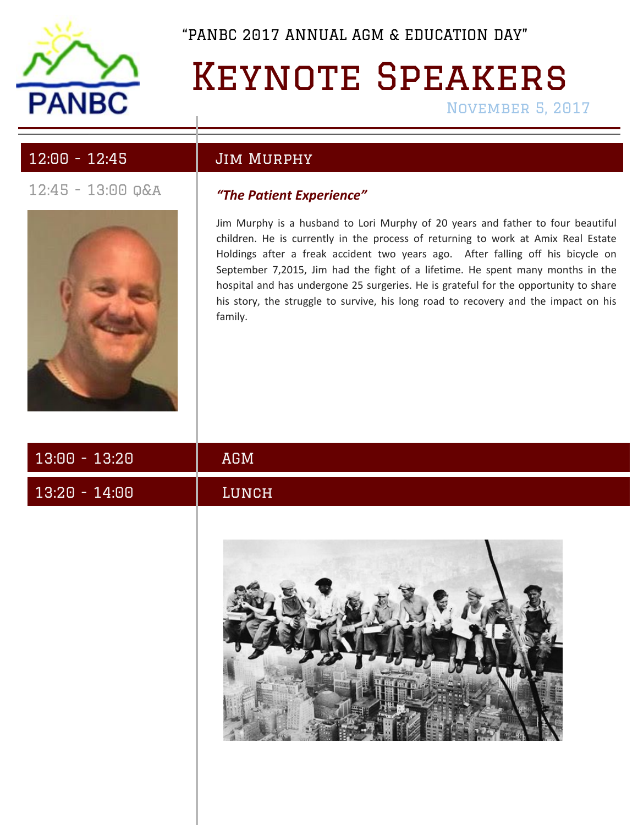

# KEYNOTE SPEAKERS

November 5, 2017

## 12:00 - 12:45 Jim Murphy



## 12:45 - 13:00 q&a *"The Patient Experience"*

Jim Murphy is a husband to Lori Murphy of 20 years and father to four beautiful children. He is currently in the process of returning to work at Amix Real Estate Holdings after a freak accident two years ago. After falling off his bicycle on September 7,2015, Jim had the fight of a lifetime. He spent many months in the hospital and has undergone 25 surgeries. He is grateful for the opportunity to share his story, the struggle to survive, his long road to recovery and the impact on his family.

| $13:00 - 13:20$ | AGM   |
|-----------------|-------|
| $13.20 - 14.00$ | LUNCH |
|                 |       |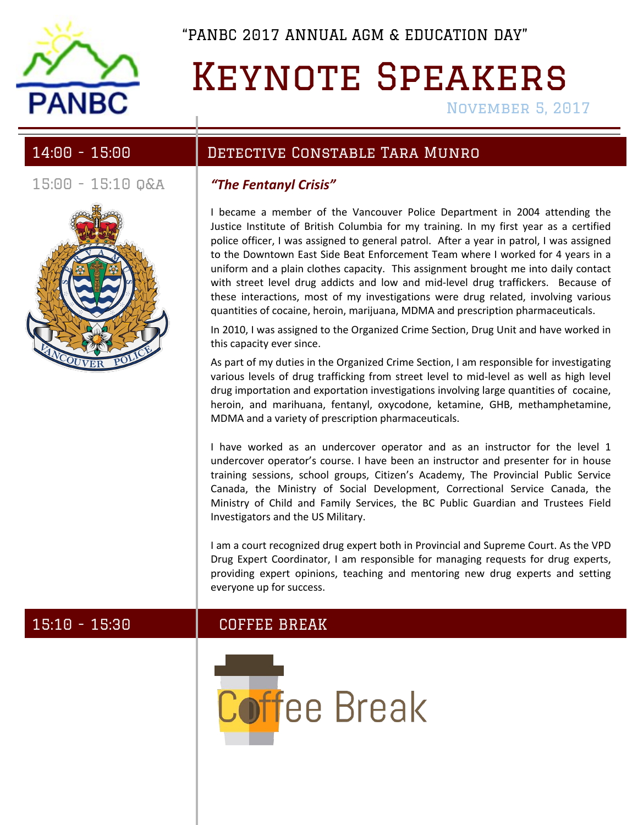

## Keynote Speakers

November 5, 2017

15:00 - 15:10 q&a *"The Fentanyl Crisis"*



## 14:00 - 15:00 Detective Constable Tara Munro

I became a member of the Vancouver Police Department in 2004 attending the Justice Institute of British Columbia for my training. In my first year as a certified police officer, I was assigned to general patrol. After a year in patrol, I was assigned to the Downtown East Side Beat Enforcement Team where I worked for 4 years in a uniform and a plain clothes capacity. This assignment brought me into daily contact with street level drug addicts and low and mid-level drug traffickers. Because of these interactions, most of my investigations were drug related, involving various quantities of cocaine, heroin, marijuana, MDMA and prescription pharmaceuticals.

In 2010, I was assigned to the Organized Crime Section, Drug Unit and have worked in this capacity ever since.

As part of my duties in the Organized Crime Section, I am responsible for investigating various levels of drug trafficking from street level to mid-level as well as high level drug importation and exportation investigations involving large quantities of cocaine, heroin, and marihuana, fentanyl, oxycodone, ketamine, GHB, methamphetamine, MDMA and a variety of prescription pharmaceuticals.

I have worked as an undercover operator and as an instructor for the level 1 undercover operator's course. I have been an instructor and presenter for in house training sessions, school groups, Citizen's Academy, The Provincial Public Service Canada, the Ministry of Social Development, Correctional Service Canada, the Ministry of Child and Family Services, the BC Public Guardian and Trustees Field Investigators and the US Military.

I am a court recognized drug expert both in Provincial and Supreme Court. As the VPD Drug Expert Coordinator, I am responsible for managing requests for drug experts, providing expert opinions, teaching and mentoring new drug experts and setting everyone up for success.

### 15:10 - 15:30 COFFEE BREAK